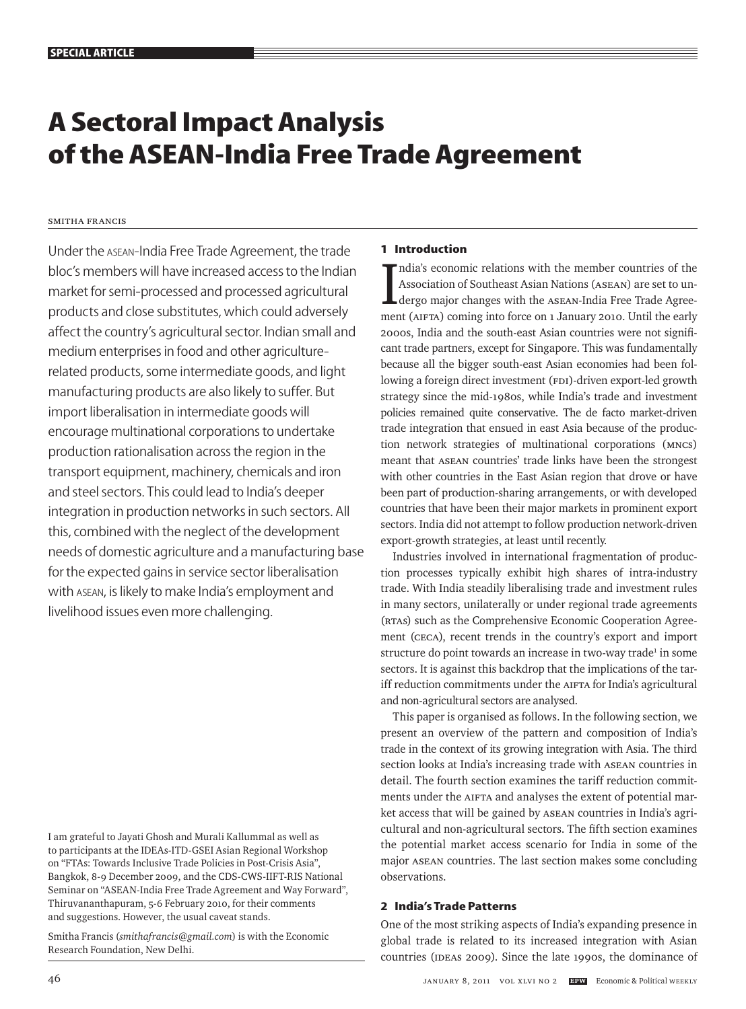# **A Sectoral Impact Analysis of the ASEAN-India Free Trade Agreement**

# Smitha Francis

Under the asean-India Free Trade Agreement, the trade bloc's members will have increased access to the Indian market for semi-processed and processed agricultural products and close substitutes, which could adversely affect the country's agricultural sector. Indian small and medium enterprises in food and other agriculturerelated products, some intermediate goods, and light manufacturing products are also likely to suffer. But import liberalisation in intermediate goods will encourage multinational corporations to undertake production rationalisation across the region in the transport equipment, machinery, chemicals and iron and steel sectors. This could lead to India's deeper integration in production networks in such sectors. All this, combined with the neglect of the development needs of domestic agriculture and a manufacturing base for the expected gains in service sector liberalisation with asean, is likely to make India's employment and livelihood issues even more challenging.

I am grateful to Jayati Ghosh and Murali Kallummal as well as to participants at the IDEAs-ITD-GSEI Asian Regional Workshop on "FTAs: Towards Inclusive Trade Policies in Post-Crisis Asia", Bangkok, 8-9 December 2009, and the CDS-CWS-IIFT-RIS National Seminar on "ASEAN-India Free Trade Agreement and Way Forward", Thiruvananthapuram, 5-6 February 2010, for their comments and suggestions. However, the usual caveat stands.

Smitha Francis (*smithafrancis@gmail.com*) is with the Economic Research Foundation, New Delhi.

# **1 Introduction**

India's economic relations with the member countries of the<br>Association of Southeast Asian Nations (ASEAN) are set to un-<br>dergo major changes with the ASEAN-India Free Trade Agree-<br>ment (ATE) coming into force on a January ndia's economic relations with the member countries of the Association of Southeast Asian Nations (ASEAN) are set to unment (AIFTA) coming into force on 1 January 2010. Until the early 2000s, India and the south-east Asian countries were not significant trade partners, except for Singapore. This was fundamentally because all the bigger south-east Asian economies had been following a foreign direct investment (FDI)-driven export-led growth strategy since the mid-1980s, while India's trade and investment policies remained quite conservative. The de facto market-driven trade integration that ensued in east Asia because of the production network strategies of multinational corporations (MNCs) meant that ASEAN countries' trade links have been the strongest with other countries in the East Asian region that drove or have been part of production-sharing arrangements, or with developed countries that have been their major markets in prominent export sectors. India did not attempt to follow production network-driven export-growth strategies, at least until recently.

Industries involved in international fragmentation of production processes typically exhibit high shares of intra-industry trade. With India steadily liberalising trade and investment rules in many sectors, unilaterally or under regional trade agreements (RTAs) such as the Comprehensive Economic Cooperation Agreement (CECA), recent trends in the country's export and import structure do point towards an increase in two-way trade<sup>1</sup> in some sectors. It is against this backdrop that the implications of the tariff reduction commitments under the AIFTA for India's agricultural and non-agricultural sectors are analysed.

This paper is organised as follows. In the following section, we present an overview of the pattern and composition of India's trade in the context of its growing integration with Asia. The third section looks at India's increasing trade with ASEAN countries in detail. The fourth section examines the tariff reduction commitments under the AIFTA and analyses the extent of potential market access that will be gained by ASEAN countries in India's agricultural and non-agricultural sectors. The fifth section examines the potential market access scenario for India in some of the major ASEAN countries. The last section makes some concluding observations.

# **2 India's Trade Patterns**

One of the most striking aspects of India's expanding presence in global trade is related to its increased integration with Asian countries (IDEAs 2009). Since the late 1990s, the dominance of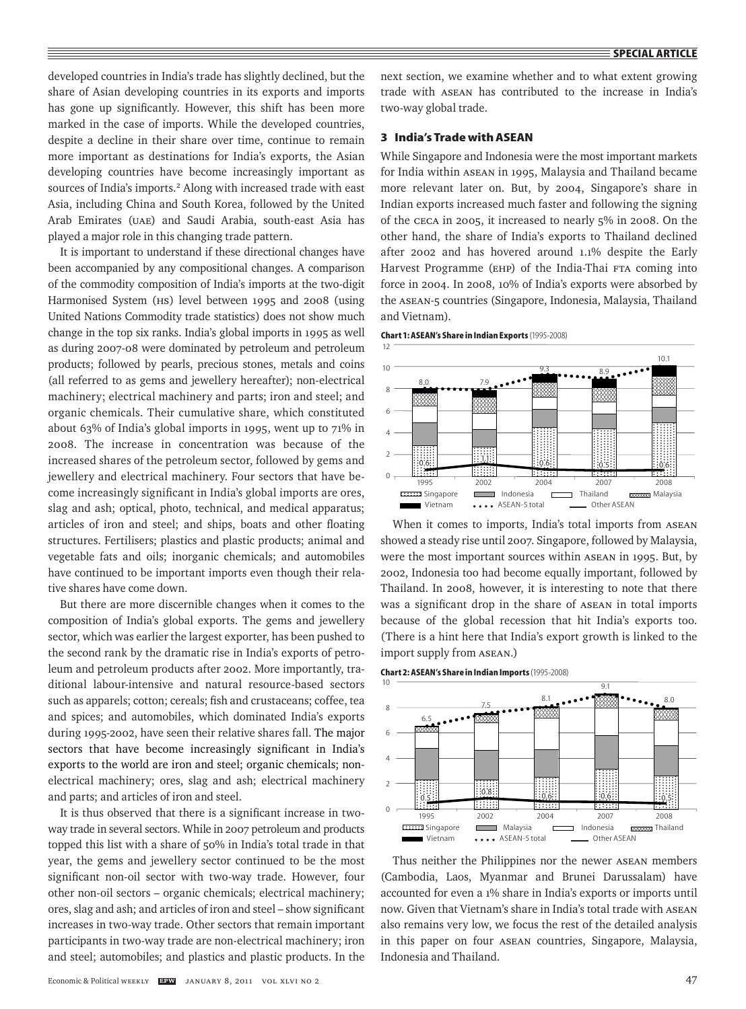developed countries in India's trade has slightly declined, but the share of Asian developing countries in its exports and imports has gone up significantly. However, this shift has been more marked in the case of imports. While the developed countries, despite a decline in their share over time, continue to remain more important as destinations for India's exports, the Asian developing countries have become increasingly important as sources of India's imports.<sup>2</sup> Along with increased trade with east Asia, including China and South Korea, followed by the United Arab Emirates (UAE) and Saudi Arabia, south-east Asia has played a major role in this changing trade pattern.

It is important to understand if these directional changes have been accompanied by any compositional changes. A comparison of the commodity composition of India's imports at the two-digit Harmonised System (HS) level between 1995 and 2008 (using United Nations Commodity trade statistics) does not show much change in the top six ranks. India's global imports in 1995 as well as during 2007-08 were dominated by petroleum and petroleum products; followed by pearls, precious stones, metals and coins (all referred to as gems and jewellery hereafter); non-electrical machinery; electrical machinery and parts; iron and steel; and organic chemicals. Their cumulative share, which constituted about 63% of India's global imports in 1995, went up to 71% in 2008. The increase in concentration was because of the increased shares of the petroleum sector, followed by gems and jewellery and electrical machinery. Four sectors that have become increasingly significant in India's global imports are ores, slag and ash; optical, photo, technical, and medical apparatus; articles of iron and steel; and ships, boats and other floating structures. Fertilisers; plastics and plastic products; animal and vegetable fats and oils; inorganic chemicals; and automobiles have continued to be important imports even though their relative shares have come down.

But there are more discernible changes when it comes to the composition of India's global exports. The gems and jewellery sector, which was earlier the largest exporter, has been pushed to the second rank by the dramatic rise in India's exports of petroleum and petroleum products after 2002. More importantly, traditional labour-intensive and natural resource-based sectors such as apparels; cotton; cereals; fish and crustaceans; coffee, tea and spices; and automobiles, which dominated India's exports during 1995-2002, have seen their relative shares fall. The major sectors that have become increasingly significant in India's exports to the world are iron and steel; organic chemicals; nonelectrical machinery; ores, slag and ash; electrical machinery and parts; and articles of iron and steel.

It is thus observed that there is a significant increase in twoway trade in several sectors. While in 2007 petroleum and products topped this list with a share of 50% in India's total trade in that year, the gems and jewellery sector continued to be the most significant non-oil sector with two-way trade. However, four other non-oil sectors – organic chemicals; electrical machinery; ores, slag and ash; and articles of iron and steel – show significant increases in two-way trade. Other sectors that remain important participants in two-way trade are non-electrical machinery; iron and steel; automobiles; and plastics and plastic products. In the

next section, we examine whether and to what extent growing trade with ASEAN has contributed to the increase in India's two-way global trade.

## **3 India's Trade with ASEAN**

While Singapore and Indonesia were the most important markets for India within ASEAN in 1995, Malaysia and Thailand became more relevant later on. But, by 2004, Singapore's share in Indian exports increased much faster and following the signing of the CECA in 2005, it increased to nearly 5% in 2008. On the other hand, the share of India's exports to Thailand declined after 2002 and has hovered around 1.1% despite the Early Harvest Programme (EHP) of the India-Thai FTA coming into force in 2004. In 2008, 10% of India's exports were absorbed by the ASEAN-5 countries (Singapore, Indonesia, Malaysia, Thailand and Vietnam).





When it comes to imports, India's total imports from ASEAN showed a steady rise until 2007. Singapore, followed by Malaysia, were the most important sources within ASEAN in 1995. But, by 2002, Indonesia too had become equally important, followed by Thailand. In 2008, however, it is interesting to note that there was a significant drop in the share of ASEAN in total imports because of the global recession that hit India's exports too. (There is a hint here that India's export growth is linked to the import supply from ASEAN.)

**Chart 2: ASEAN's Share in Indian Imports** (1995-2008)



Thus neither the Philippines nor the newer ASEAN members (Cambodia, Laos, Myanmar and Brunei Darussalam) have accounted for even a 1% share in India's exports or imports until now. Given that Vietnam's share in India's total trade with ASEAN also remains very low, we focus the rest of the detailed analysis in this paper on four ASEAN countries, Singapore, Malaysia, Indonesia and Thailand.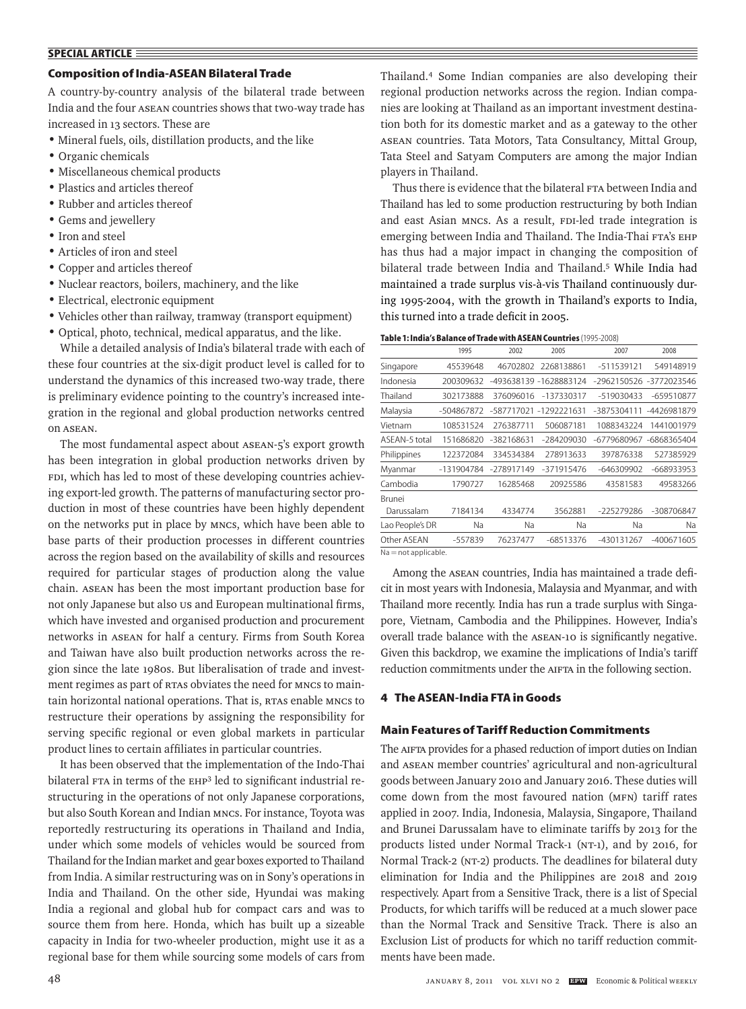# **SPECIAL ARTICLE**

# **Composition of India-ASEAN Bilateral Trade**

A country-by-country analysis of the bilateral trade between India and the four ASEAN countries shows that two-way trade has increased in 13 sectors. These are

- Mineral fuels, oils, distillation products, and the like
- Organic chemicals
- Miscellaneous chemical products
- Plastics and articles thereof
- Rubber and articles thereof
- Gems and jewellery
- Iron and steel
- Articles of iron and steel
- Copper and articles thereof
- Nuclear reactors, boilers, machinery, and the like
- Electrical, electronic equipment
- Vehicles other than railway, tramway (transport equipment)
- Optical, photo, technical, medical apparatus, and the like.

While a detailed analysis of India's bilateral trade with each of these four countries at the six-digit product level is called for to understand the dynamics of this increased two-way trade, there is preliminary evidence pointing to the country's increased integration in the regional and global production networks centred on ASEAN.

The most fundamental aspect about ASEAN-5's export growth has been integration in global production networks driven by FDI, which has led to most of these developing countries achieving export-led growth. The patterns of manufacturing sector production in most of these countries have been highly dependent on the networks put in place by MNCs, which have been able to base parts of their production processes in different countries across the region based on the availability of skills and resources required for particular stages of production along the value chain. ASEAN has been the most important production base for not only Japanese but also US and European multinational firms, which have invested and organised production and procurement networks in ASEAN for half a century. Firms from South Korea and Taiwan have also built production networks across the region since the late 1980s. But liberalisation of trade and investment regimes as part of RTAs obviates the need for MNCs to maintain horizontal national operations. That is, RTAs enable MNCs to restructure their operations by assigning the responsibility for serving specific regional or even global markets in particular product lines to certain affiliates in particular countries.

It has been observed that the implementation of the Indo-Thai bilateral FTA in terms of the EHP<sup>3</sup> led to significant industrial restructuring in the operations of not only Japanese corporations, but also South Korean and Indian MNCs. For instance, Toyota was reportedly restructuring its operations in Thailand and India, under which some models of vehicles would be sourced from Thailand for the Indian market and gear boxes exported to Thailand from India. A similar restructuring was on in Sony's operations in India and Thailand. On the other side, Hyundai was making India a regional and global hub for compact cars and was to source them from here. Honda, which has built up a sizeable capacity in India for two-wheeler production, might use it as a regional base for them while sourcing some models of cars from Thailand.4 Some Indian companies are also developing their regional production networks across the region. Indian companies are looking at Thailand as an important investment destination both for its domestic market and as a gateway to the other ASEAN countries. Tata Motors, Tata Consultancy, Mittal Group, Tata Steel and Satyam Computers are among the major Indian players in Thailand.

Thus there is evidence that the bilateral FTA between India and Thailand has led to some production restructuring by both Indian and east Asian MNCs. As a result, FDI-led trade integration is emerging between India and Thailand. The India-Thai FTA's EHP has thus had a major impact in changing the composition of bilateral trade between India and Thailand.5 While India had maintained a trade surplus vis-à-vis Thailand continuously during 1995-2004, with the growth in Thailand's exports to India, this turned into a trade deficit in 2005.

| Table 1: India's Balance of Trade with ASEAN Countries (1995-2008) |  |
|--------------------------------------------------------------------|--|
|--------------------------------------------------------------------|--|

|                 | 1995       | 2002       | 2005                   | 2007         | 2008        |
|-----------------|------------|------------|------------------------|--------------|-------------|
| Singapore       | 45539648   | 46702802   | 2268138861             | -511539121   | 549148919   |
| Indonesia       | 200309632  |            | -493638139 -1628883124 | -2962150526  | -3772023546 |
| Thailand        | 302173888  | 376096016  | -137330317             | -519030433   | -659510877  |
| Malaysia        | -504867872 | -587717021 | -1292221631            | -3875304111  | -4426981879 |
| Vietnam         | 108531524  | 276387711  | 506087181              | 1088343224   | 1441001979  |
| ASEAN-5 total   | 151686820  | -382168631 | -284209030             | -6779680967  | -6868365404 |
| Philippines     | 122372084  | 334534384  | 278913633              | 397876338    | 527385929   |
| Myanmar         | -131904784 | -278917149 | -371915476             | -646309902   | -668933953  |
| Cambodia        | 1790727    | 16285468   | 20925586               | 43581583     | 49583266    |
| Brunei          |            |            |                        |              |             |
| Darussalam      | 7184134    | 4334774    | 3562881                | $-225279286$ | -308706847  |
| Lao People's DR | Na         | Na         | Na                     | Na           | Na          |
| Other ASEAN     | -557839    | 76237477   | -68513376              | -430131267   | -400671605  |
|                 | $\cdots$   |            |                        |              |             |

Na = not applicable.

Among the ASEAN countries, India has maintained a trade deficit in most years with Indonesia, Malaysia and Myanmar, and with Thailand more recently. India has run a trade surplus with Singapore, Vietnam, Cambodia and the Philippines. However, India's overall trade balance with the ASEAN-10 is significantly negative. Given this backdrop, we examine the implications of India's tariff reduction commitments under the AIFTA in the following section.

# **4 The ASEAN-India FTA in Goods**

#### **Main Features of Tariff Reduction Commitments**

The AIFTA provides for a phased reduction of import duties on Indian and ASEAN member countries' agricultural and non-agricultural goods between January 2010 and January 2016. These duties will come down from the most favoured nation (MFN) tariff rates applied in 2007. India, Indonesia, Malaysia, Singapore, Thailand and Brunei Darussalam have to eliminate tariffs by 2013 for the products listed under Normal Track-1 (NT-1), and by 2016, for Normal Track-2 (NT-2) products. The deadlines for bilateral duty elimination for India and the Philippines are 2018 and 2019 respectively. Apart from a Sensitive Track, there is a list of Special Products, for which tariffs will be reduced at a much slower pace than the Normal Track and Sensitive Track. There is also an Exclusion List of products for which no tariff reduction commitments have been made.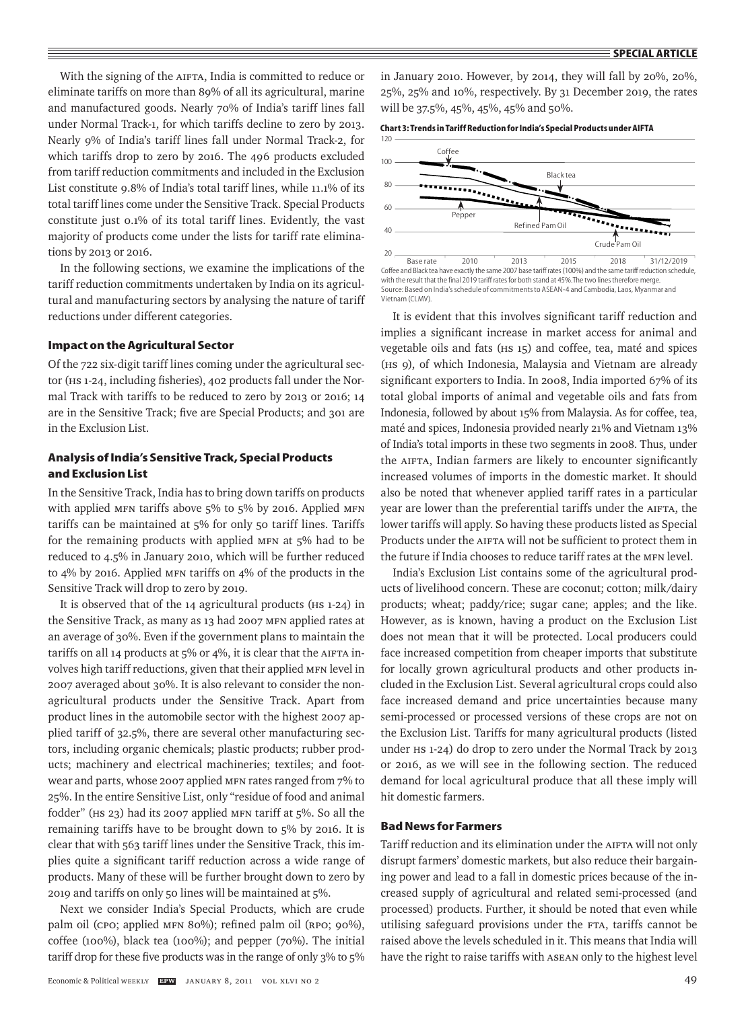With the signing of the AIFTA, India is committed to reduce or eliminate tariffs on more than 89% of all its agricultural, marine and manufactured goods. Nearly 70% of India's tariff lines fall under Normal Track-1, for which tariffs decline to zero by 2013. Nearly 9% of India's tariff lines fall under Normal Track-2, for which tariffs drop to zero by 2016. The 496 products excluded from tariff reduction commitments and included in the Exclusion List constitute 9.8% of India's total tariff lines, while 11.1% of its total tariff lines come under the Sensitive Track. Special Products constitute just 0.1% of its total tariff lines. Evidently, the vast majority of products come under the lists for tariff rate eliminations by 2013 or 2016.

In the following sections, we examine the implications of the tariff reduction commitments undertaken by India on its agricultural and manufacturing sectors by analysing the nature of tariff reductions under different categories.

### **Impact on the Agricultural Sector**

Of the 722 six-digit tariff lines coming under the agricultural sector (HS 1-24, including fisheries), 402 products fall under the Normal Track with tariffs to be reduced to zero by 2013 or 2016; 14 are in the Sensitive Track; five are Special Products; and 301 are in the Exclusion List.

# **Analysis of India's Sensitive Track, Special Products and Exclusion List**

In the Sensitive Track, India has to bring down tariffs on products with applied MFN tariffs above 5% to 5% by 2016. Applied MFN tariffs can be maintained at 5% for only 50 tariff lines. Tariffs for the remaining products with applied MFN at 5% had to be reduced to 4.5% in January 2010, which will be further reduced to 4% by 2016. Applied MFN tariffs on 4% of the products in the Sensitive Track will drop to zero by 2019.

It is observed that of the 14 agricultural products (HS 1-24) in the Sensitive Track, as many as 13 had 2007 MFN applied rates at an average of 30%. Even if the government plans to maintain the tariffs on all 14 products at 5% or 4%, it is clear that the AIFTA involves high tariff reductions, given that their applied MFN level in 2007 averaged about 30%. It is also relevant to consider the nonagricultural products under the Sensitive Track. Apart from product lines in the automobile sector with the highest 2007 applied tariff of 32.5%, there are several other manufacturing sectors, including organic chemicals; plastic products; rubber products; machinery and electrical machineries; textiles; and footwear and parts, whose 2007 applied MFN rates ranged from 7% to 25%. In the entire Sensitive List, only "residue of food and animal fodder" (HS 23) had its 2007 applied MFN tariff at 5%. So all the remaining tariffs have to be brought down to 5% by 2016. It is clear that with 563 tariff lines under the Sensitive Track, this implies quite a significant tariff reduction across a wide range of products. Many of these will be further brought down to zero by 2019 and tariffs on only 50 lines will be maintained at 5%.

Next we consider India's Special Products, which are crude palm oil (CPO; applied MFN 80%); refined palm oil (RPO; 90%), coffee (100%), black tea (100%); and pepper (70%). The initial tariff drop for these five products was in the range of only 3% to 5% in January 2010. However, by 2014, they will fall by 20%, 20%, 25%, 25% and 10%, respectively. By 31 December 2019, the rates will be 37.5%, 45%, 45%, 45% and 50%.





**Base rate 2010 2013 2015 2018 31.12.2019** Source: Based on India's schedule of commitments to ASEAN-4 and Cambodia, Laos, Myanmar and with the result that the final 2019 tariff rates for both stand at 45%. The two lines therefore merge. Vietnam (CLMV).

It is evident that this involves significant tariff reduction and implies a significant increase in market access for animal and vegetable oils and fats (HS 15) and coffee, tea, maté and spices (HS 9), of which Indonesia, Malaysia and Vietnam are already significant exporters to India. In 2008, India imported 67% of its total global imports of animal and vegetable oils and fats from Indonesia, followed by about 15% from Malaysia. As for coffee, tea, maté and spices, Indonesia provided nearly 21% and Vietnam 13% of India's total imports in these two segments in 2008. Thus, under the AIFTA, Indian farmers are likely to encounter significantly increased volumes of imports in the domestic market. It should also be noted that whenever applied tariff rates in a particular year are lower than the preferential tariffs under the AIFTA, the lower tariffs will apply. So having these products listed as Special Products under the AIFTA will not be sufficient to protect them in the future if India chooses to reduce tariff rates at the MFN level.

India's Exclusion List contains some of the agricultural products of livelihood concern. These are coconut; cotton; milk/dairy products; wheat; paddy/rice; sugar cane; apples; and the like. However, as is known, having a product on the Exclusion List does not mean that it will be protected. Local producers could face increased competition from cheaper imports that substitute for locally grown agricultural products and other products included in the Exclusion List. Several agricultural crops could also face increased demand and price uncertainties because many semi-processed or processed versions of these crops are not on the Exclusion List. Tariffs for many agricultural products (listed under HS 1-24) do drop to zero under the Normal Track by 2013 or 2016, as we will see in the following section. The reduced demand for local agricultural produce that all these imply will hit domestic farmers.

# **Bad News for Farmers**

Tariff reduction and its elimination under the AIFTA will not only disrupt farmers' domestic markets, but also reduce their bargaining power and lead to a fall in domestic prices because of the increased supply of agricultural and related semi-processed (and processed) products. Further, it should be noted that even while utilising safeguard provisions under the FTA, tariffs cannot be raised above the levels scheduled in it. This means that India will have the right to raise tariffs with ASEAN only to the highest level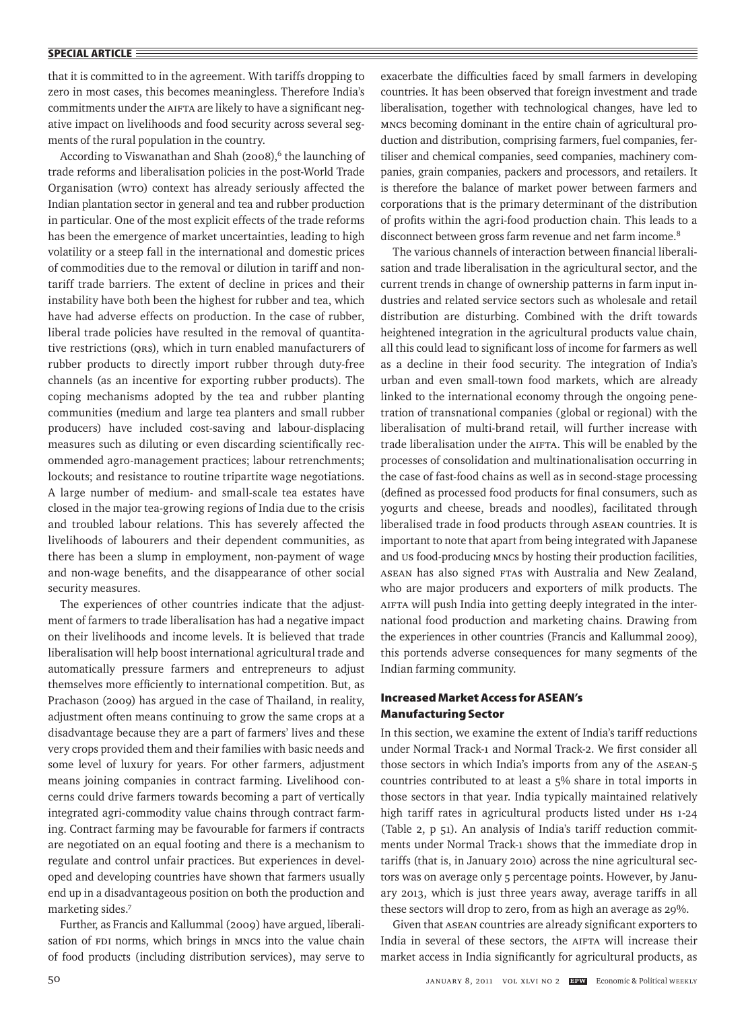### **SPECIAL ARTICLE**

that it is committed to in the agreement. With tariffs dropping to zero in most cases, this becomes meaningless. Therefore India's commitments under the AIFTA are likely to have a significant negative impact on livelihoods and food security across several segments of the rural population in the country.

According to Viswanathan and Shah (2008),<sup>6</sup> the launching of trade reforms and liberalisation policies in the post-World Trade Organisation (WTO) context has already seriously affected the Indian plantation sector in general and tea and rubber production in particular. One of the most explicit effects of the trade reforms has been the emergence of market uncertainties, leading to high volatility or a steep fall in the international and domestic prices of commodities due to the removal or dilution in tariff and nontariff trade barriers. The extent of decline in prices and their instability have both been the highest for rubber and tea, which have had adverse effects on production. In the case of rubber, liberal trade policies have resulted in the removal of quantitative restrictions (QRs), which in turn enabled manufacturers of rubber products to directly import rubber through duty-free channels (as an incentive for exporting rubber products). The coping mechanisms adopted by the tea and rubber planting communities (medium and large tea planters and small rubber producers) have included cost-saving and labour-displacing measures such as diluting or even discarding scientifically recommended agro-management practices; labour retrenchments; lockouts; and resistance to routine tripartite wage negotiations. A large number of medium- and small-scale tea estates have closed in the major tea-growing regions of India due to the crisis and troubled labour relations. This has severely affected the livelihoods of labourers and their dependent communities, as there has been a slump in employment, non-payment of wage and non-wage benefits, and the disappearance of other social security measures.

The experiences of other countries indicate that the adjustment of farmers to trade liberalisation has had a negative impact on their livelihoods and income levels. It is believed that trade liberalisation will help boost international agricultural trade and automatically pressure farmers and entrepreneurs to adjust themselves more efficiently to international competition. But, as Prachason (2009) has argued in the case of Thailand, in reality, adjustment often means continuing to grow the same crops at a disadvantage because they are a part of farmers' lives and these very crops provided them and their families with basic needs and some level of luxury for years. For other farmers, adjustment means joining companies in contract farming. Livelihood concerns could drive farmers towards becoming a part of vertically integrated agri-commodity value chains through contract farming. Contract farming may be favourable for farmers if contracts are negotiated on an equal footing and there is a mechanism to regulate and control unfair practices. But experiences in developed and developing countries have shown that farmers usually end up in a disadvantageous position on both the production and marketing sides.7

Further, as Francis and Kallummal (2009) have argued, liberalisation of FDI norms, which brings in MNCs into the value chain of food products (including distribution services), may serve to exacerbate the difficulties faced by small farmers in developing countries. It has been observed that foreign investment and trade liberalisation, together with technological changes, have led to MNCs becoming dominant in the entire chain of agricultural production and distribution, comprising farmers, fuel companies, fertiliser and chemical companies, seed companies, machinery companies, grain companies, packers and processors, and retailers. It is therefore the balance of market power between farmers and corporations that is the primary determinant of the distribution of profits within the agri-food production chain. This leads to a disconnect between gross farm revenue and net farm income.<sup>8</sup>

The various channels of interaction between financial liberalisation and trade liberalisation in the agricultural sector, and the current trends in change of ownership patterns in farm input industries and related service sectors such as wholesale and retail distribution are disturbing. Combined with the drift towards heightened integration in the agricultural products value chain, all this could lead to significant loss of income for farmers as well as a decline in their food security. The integration of India's urban and even small-town food markets, which are already linked to the international economy through the ongoing penetration of transnational companies (global or regional) with the liberalisation of multi-brand retail, will further increase with trade liberalisation under the AIFTA. This will be enabled by the processes of consolidation and multinationalisation occurring in the case of fast-food chains as well as in second-stage processing (defined as processed food products for final consumers, such as yogurts and cheese, breads and noodles), facilitated through liberalised trade in food products through ASEAN countries. It is important to note that apart from being integrated with Japanese and US food-producing MNCs by hosting their production facilities, ASEAN has also signed FTAs with Australia and New Zealand, who are major producers and exporters of milk products. The AIFTA will push India into getting deeply integrated in the international food production and marketing chains. Drawing from the experiences in other countries (Francis and Kallummal 2009), this portends adverse consequences for many segments of the Indian farming community.

# **Increased Market Access for ASEAN's Manufacturing Sector**

In this section, we examine the extent of India's tariff reductions under Normal Track-1 and Normal Track-2. We first consider all those sectors in which India's imports from any of the ASEAN-5 countries contributed to at least a 5% share in total imports in those sectors in that year. India typically maintained relatively high tariff rates in agricultural products listed under HS 1-24 (Table 2, p 51). An analysis of India's tariff reduction commitments under Normal Track-1 shows that the immediate drop in tariffs (that is, in January 2010) across the nine agricultural sectors was on average only 5 percentage points. However, by January 2013, which is just three years away, average tariffs in all these sectors will drop to zero, from as high an average as 29%.

Given that ASEAN countries are already significant exporters to India in several of these sectors, the AIFTA will increase their market access in India significantly for agricultural products, as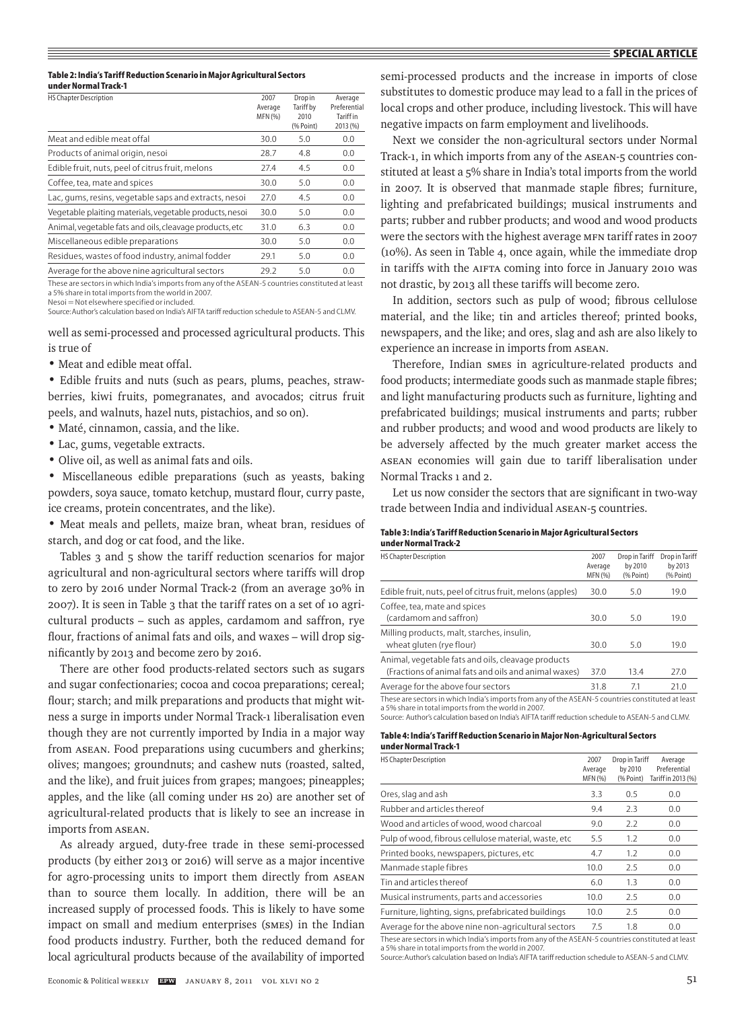#### **Table 2: India's Tariff Reduction Scenario in Major Agricultural Sectors under Normal Track-1**

| <b>HS Chapter Description</b>                            | 2007    | Drop in   | Average          |
|----------------------------------------------------------|---------|-----------|------------------|
|                                                          | Average | Tariff by | Preferential     |
|                                                          | MFN (%) | 2010      | <b>Tariff</b> in |
|                                                          |         | (% Point) | 2013 (%)         |
| Meat and edible meat offal                               | 30.0    | 5.0       | 0.0              |
| Products of animal origin, nesoi                         | 28.7    | 4.8       | 0.0              |
| Edible fruit, nuts, peel of citrus fruit, melons         | 27.4    | 4.5       | 0.0              |
| Coffee, tea, mate and spices                             | 30.0    | 5.0       | 0.0              |
| Lac, gums, resins, vegetable saps and extracts, nesoi    | 27.0    | 4.5       | 0.0              |
| Vegetable plaiting materials, vegetable products, nesoi  | 30.0    | 5.0       | 0.0              |
| Animal, vegetable fats and oils, cleavage products, etc. | 31.0    | 6.3       | 0.0              |
| Miscellaneous edible preparations                        | 30.0    | 5.0       | 0.0              |
| Residues, wastes of food industry, animal fodder         | 29.1    | 5.0       | 0.0              |
| Average for the above nine agricultural sectors          | 29.2    | 5.0       | 0.0              |

These are sectors in which India's imports from any of the ASEAN-5 countries constituted at least a 5% share in total imports from the world in 2007.

Nesoi = Not elsewhere specified or included.

Source: Author's calculation based on India's AIFTA tariff reduction schedule to ASEAN-5 and CLMV.

well as semi-processed and processed agricultural products. This is true of

• Meat and edible meat offal.

• Edible fruits and nuts (such as pears, plums, peaches, strawberries, kiwi fruits, pomegranates, and avocados; citrus fruit peels, and walnuts, hazel nuts, pistachios, and so on).

- Maté, cinnamon, cassia, and the like.
- Lac, gums, vegetable extracts.
- Olive oil, as well as animal fats and oils.

• Miscellaneous edible preparations (such as yeasts, baking powders, soya sauce, tomato ketchup, mustard flour, curry paste, ice creams, protein concentrates, and the like).

• Meat meals and pellets, maize bran, wheat bran, residues of starch, and dog or cat food, and the like.

Tables 3 and 5 show the tariff reduction scenarios for major agricultural and non-agricultural sectors where tariffs will drop to zero by 2016 under Normal Track-2 (from an average 30% in 2007). It is seen in Table 3 that the tariff rates on a set of 10 agricultural products – such as apples, cardamom and saffron, rye flour, fractions of animal fats and oils, and waxes – will drop significantly by 2013 and become zero by 2016.

There are other food products-related sectors such as sugars and sugar confectionaries; cocoa and cocoa preparations; cereal; flour; starch; and milk preparations and products that might witness a surge in imports under Normal Track-1 liberalisation even though they are not currently imported by India in a major way from ASEAN. Food preparations using cucumbers and gherkins; olives; mangoes; groundnuts; and cashew nuts (roasted, salted, and the like), and fruit juices from grapes; mangoes; pineapples; apples, and the like (all coming under HS 20) are another set of agricultural-related products that is likely to see an increase in imports from ASEAN.

As already argued, duty-free trade in these semi-processed products (by either 2013 or 2016) will serve as a major incentive for agro-processing units to import them directly from ASEAN than to source them locally. In addition, there will be an increased supply of processed foods. This is likely to have some impact on small and medium enterprises (SMEs) in the Indian food products industry. Further, both the reduced demand for local agricultural products because of the availability of imported semi-processed products and the increase in imports of close substitutes to domestic produce may lead to a fall in the prices of local crops and other produce, including livestock. This will have negative impacts on farm employment and livelihoods.

Next we consider the non-agricultural sectors under Normal Track-1, in which imports from any of the ASEAN-5 countries constituted at least a 5% share in India's total imports from the world in 2007. It is observed that manmade staple fibres; furniture, lighting and prefabricated buildings; musical instruments and parts; rubber and rubber products; and wood and wood products were the sectors with the highest average MFN tariff rates in 2007 (10%). As seen in Table 4, once again, while the immediate drop in tariffs with the AIFTA coming into force in January 2010 was not drastic, by 2013 all these tariffs will become zero.

In addition, sectors such as pulp of wood; fibrous cellulose material, and the like; tin and articles thereof; printed books, newspapers, and the like; and ores, slag and ash are also likely to experience an increase in imports from ASEAN.

Therefore, Indian SMEs in agriculture-related products and food products; intermediate goods such as manmade staple fibres; and light manufacturing products such as furniture, lighting and prefabricated buildings; musical instruments and parts; rubber and rubber products; and wood and wood products are likely to be adversely affected by the much greater market access the ASEAN economies will gain due to tariff liberalisation under Normal Tracks 1 and 2.

Let us now consider the sectors that are significant in two-way trade between India and individual ASEAN-5 countries.

#### **Table 3: India's Tariff Reduction Scenario in Major Agricultural Sectors under Normal Track-2**

| <b>HS Chapter Description</b>                                                                              | 2007<br>Average<br>MFN (%) | Drop in Tariff<br>by 2010<br>(% Point) | Drop in Tariff<br>by 2013<br>(% Point) |
|------------------------------------------------------------------------------------------------------------|----------------------------|----------------------------------------|----------------------------------------|
| Edible fruit, nuts, peel of citrus fruit, melons (apples)                                                  | 30.0                       | 5.0                                    | 19.0                                   |
| Coffee, tea, mate and spices<br>(cardamom and saffron)                                                     | 30.0                       | 5.0                                    | 19.0                                   |
| Milling products, malt, starches, insulin,<br>wheat gluten (rye flour)                                     | 30.0                       | 5.0                                    | 19.0                                   |
| Animal, vegetable fats and oils, cleavage products<br>(Fractions of animal fats and oils and animal waxes) | 37.0                       | 13.4                                   | 27.0                                   |
| Average for the above four sectors                                                                         | 31.8                       | 7.1                                    | 21.0                                   |
| These are sectors in which India's imports from any of the ASEAN-5 countries constituted at least          |                            |                                        |                                        |

a 5% share in total imports from the world in 2007. Source: Author's calculation based on India's AIFTA tariff reduction schedule to ASEAN-5 and CLMV.

#### **Table 4: India's Tariff Reduction Scenario in Major Non-Agricultural Sectors under Normal Track-1**

| unuci nviinai navri                                   |                            |                                        |                                               |
|-------------------------------------------------------|----------------------------|----------------------------------------|-----------------------------------------------|
| <b>HS Chapter Description</b>                         | 2007<br>Average<br>MFN (%) | Drop in Tariff<br>by 2010<br>(% Point) | Average<br>Preferential<br>Tariff in 2013 (%) |
| Ores, slag and ash                                    | 3.3                        | 0.5                                    | 0.0                                           |
| Rubber and articles thereof                           | 9.4                        | 2.3                                    | 0.0                                           |
| Wood and articles of wood, wood charcoal              | 9.0                        | 2.2                                    | 0.0                                           |
| Pulp of wood, fibrous cellulose material, waste, etc. | 5.5                        | 1.2                                    | 0.0                                           |
| Printed books, newspapers, pictures, etc.             | 4.7                        | 1.2                                    | 0.0                                           |
| Manmade staple fibres                                 | 10.0                       | 2.5                                    | 0.0                                           |
| Tin and articles thereof                              | 6.0                        | 1.3                                    | 0.0                                           |
| Musical instruments, parts and accessories            | 10.0                       | 2.5                                    | 0.0                                           |
| Furniture, lighting, signs, prefabricated buildings   | 10.0                       | 2.5                                    | 0.0                                           |
| Average for the above nine non-agricultural sectors   | 7.5                        | 1.8                                    | 0.0                                           |

These are sectors in which India's imports from any of the ASEAN-5 countries constituted at least a 5% share in total imports from the world in 2007.

Source: Author's calculation based on India's AIFTA tariff reduction schedule to ASEAN-5 and CLMV.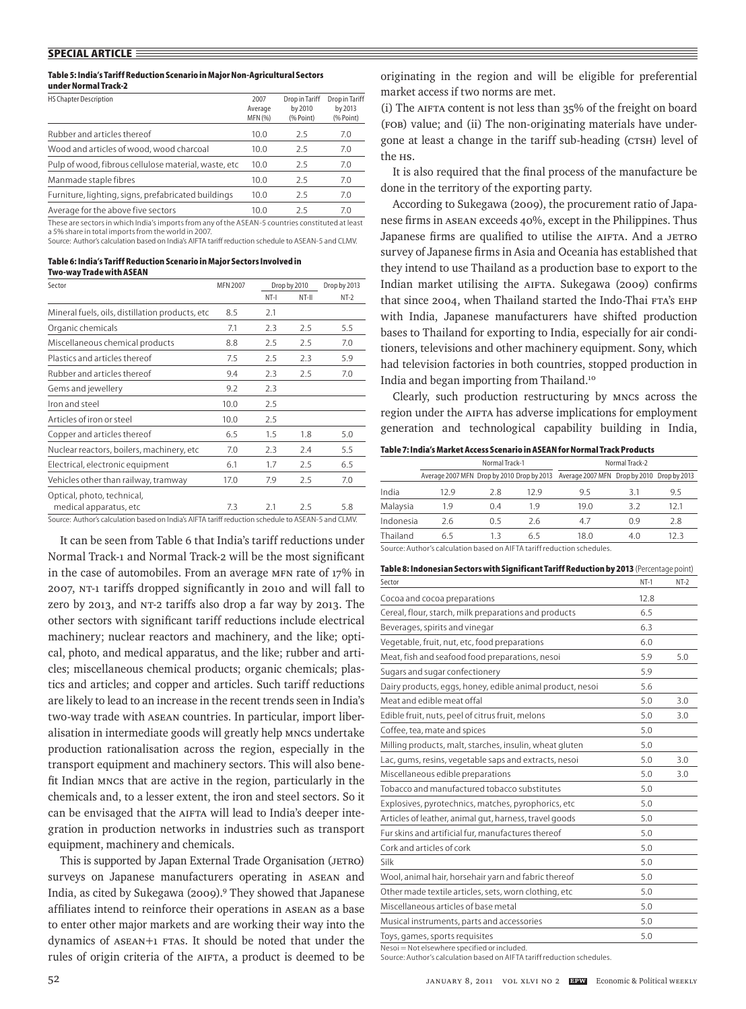#### **Table 5: India's Tariff Reduction Scenario in Major Non-Agricultural Sectors under Normal Track-2**

| <b>HS Chapter Description</b>                        | 2007<br>Average<br>MFN (%) | Drop in Tariff<br>by 2010<br>(% Point) | Drop in Tariff<br>by 2013<br>(% Point) |
|------------------------------------------------------|----------------------------|----------------------------------------|----------------------------------------|
| Rubber and articles thereof                          | 10.0                       | 2.5                                    | 7.0                                    |
| Wood and articles of wood, wood charcoal             | 10.0                       | 2.5                                    | 7.0                                    |
| Pulp of wood, fibrous cellulose material, waste, etc | 10.0                       | 2.5                                    | 7.0                                    |
| Manmade staple fibres                                | 10.0                       | 25                                     | 7.0                                    |
| Furniture, lighting, signs, prefabricated buildings  | 10.0                       | 2.5                                    | 7.0                                    |
| Average for the above five sectors                   | 10.0                       | 25                                     | 7.0                                    |

These are sectors in which India's imports from any of the ASEAN-5 countries constituted at least a 5% share in total imports from the world in 2007.

Source: Author's calculation based on India's AIFTA tariff reduction schedule to ASEAN-5 and CLMV.

| Table 6: India's Tariff Reduction Scenario in Major Sectors Involved in |
|-------------------------------------------------------------------------|
| Two-way Trade with ASEAN                                                |

| <b>MFN 2007</b> |        |         | Drop by 2013                                                                                                                                                                                                                                            |  |
|-----------------|--------|---------|---------------------------------------------------------------------------------------------------------------------------------------------------------------------------------------------------------------------------------------------------------|--|
|                 | $NT-I$ | $NT-II$ | $NT-2$                                                                                                                                                                                                                                                  |  |
| 8.5             | 2.1    |         |                                                                                                                                                                                                                                                         |  |
| 7.1             | 2.3    | 2.5     | 5.5                                                                                                                                                                                                                                                     |  |
| 8.8             | 2.5    | 2.5     | 7.0                                                                                                                                                                                                                                                     |  |
| 7.5             | 2.5    | 2.3     | 5.9                                                                                                                                                                                                                                                     |  |
| 9.4             | 2.3    | 2.5     | 7.0                                                                                                                                                                                                                                                     |  |
| 9.2             | 2.3    |         |                                                                                                                                                                                                                                                         |  |
| 10.0            | 2.5    |         |                                                                                                                                                                                                                                                         |  |
| 10.0            | 2.5    |         |                                                                                                                                                                                                                                                         |  |
| 6.5             | 1.5    | 1.8     | 5.0                                                                                                                                                                                                                                                     |  |
| 7.0             | 2.3    | 2.4     | 5.5                                                                                                                                                                                                                                                     |  |
| 6.1             | 1.7    | 2.5     | 6.5                                                                                                                                                                                                                                                     |  |
| 17.0            | 7.9    | 2.5     | 7.0                                                                                                                                                                                                                                                     |  |
|                 |        |         |                                                                                                                                                                                                                                                         |  |
| 7.3             | 2.1    | 2.5     | 5.8                                                                                                                                                                                                                                                     |  |
|                 |        |         | Drop by 2010<br>$\mathcal{C}$ . And $\mathcal{C}$ , the contract of the contract of the contract of the contract of the contract of the contract of the contract of the contract of the contract of the contract of the contract of the contract of the |  |

Source: Author's calculation based on India's AIFTA tariff reduction schedule to ASEAN-5 and CLMV.

It can be seen from Table 6 that India's tariff reductions under Normal Track-1 and Normal Track-2 will be the most significant in the case of automobiles. From an average MFN rate of 17% in 2007, NT-1 tariffs dropped significantly in 2010 and will fall to zero by 2013, and NT-2 tariffs also drop a far way by 2013. The other sectors with significant tariff reductions include electrical machinery; nuclear reactors and machinery, and the like; optical, photo, and medical apparatus, and the like; rubber and articles; miscellaneous chemical products; organic chemicals; plastics and articles; and copper and articles. Such tariff reductions are likely to lead to an increase in the recent trends seen in India's two-way trade with ASEAN countries. In particular, import liberalisation in intermediate goods will greatly help MNCs undertake production rationalisation across the region, especially in the transport equipment and machinery sectors. This will also benefit Indian MNCs that are active in the region, particularly in the chemicals and, to a lesser extent, the iron and steel sectors. So it can be envisaged that the AIFTA will lead to India's deeper integration in production networks in industries such as transport equipment, machinery and chemicals.

This is supported by Japan External Trade Organisation (JETRO) surveys on Japanese manufacturers operating in ASEAN and India, as cited by Sukegawa (2009).9 They showed that Japanese affiliates intend to reinforce their operations in ASEAN as a base to enter other major markets and are working their way into the dynamics of ASEAN+1 FTAs. It should be noted that under the rules of origin criteria of the AIFTA, a product is deemed to be originating in the region and will be eligible for preferential market access if two norms are met.

(i) The AIFTA content is not less than 35% of the freight on board (FOB) value; and (ii) The non-originating materials have undergone at least a change in the tariff sub-heading (CTSH) level of the <sub>HS</sub>.

It is also required that the final process of the manufacture be done in the territory of the exporting party.

According to Sukegawa (2009), the procurement ratio of Japanese firms in ASEAN exceeds 40%, except in the Philippines. Thus Japanese firms are qualified to utilise the AIFTA. And a JETRO survey of Japanese firms in Asia and Oceania has established that they intend to use Thailand as a production base to export to the Indian market utilising the AIFTA. Sukegawa (2009) confirms that since 2004, when Thailand started the Indo-Thai FTA's EHP with India, Japanese manufacturers have shifted production bases to Thailand for exporting to India, especially for air conditioners, televisions and other machinery equipment. Sony, which had television factories in both countries, stopped production in India and began importing from Thailand.10

Clearly, such production restructuring by MNCs across the region under the AIFTA has adverse implications for employment generation and technological capability building in India,

#### **Table 7: India's Market Access Scenario in ASEAN for Normal Track Products**

|                                                                         | Normal Track-1 |     |     |                                                                                       | Normal Track-2 |      |  |  |
|-------------------------------------------------------------------------|----------------|-----|-----|---------------------------------------------------------------------------------------|----------------|------|--|--|
|                                                                         |                |     |     | Average 2007 MFN Drop by 2010 Drop by 2013 Average 2007 MFN Drop by 2010 Drop by 2013 |                |      |  |  |
| India                                                                   | 12 9           | 2.8 | 129 | 95                                                                                    | 31             | 9.5  |  |  |
| Malaysia                                                                | 19             | 04  | 19  | 19 N                                                                                  | 37             | 12.1 |  |  |
| Indonesia                                                               | 2.6            | 0 5 | 2.6 | 47                                                                                    | 09             | 2.8  |  |  |
| Thailand                                                                | 65             | 13  | 65  | 18.0                                                                                  | 4.0            | 12 3 |  |  |
| Source: Author's calculation based on AIFTA tariff reduction schedules. |                |     |     |                                                                                       |                |      |  |  |

**Table 8: Indonesian Sectors with Significant Tariff Reduction by 2013** (Percentage point) Sector NT-1 NT-2

| Cocoa and cocoa preparations                              | 12.8 |     |
|-----------------------------------------------------------|------|-----|
| Cereal, flour, starch, milk preparations and products     | 6.5  |     |
| Beverages, spirits and vinegar                            | 6.3  |     |
| Vegetable, fruit, nut, etc, food preparations             | 6.0  |     |
| Meat, fish and seafood food preparations, nesoi           | 5.9  | 5.0 |
| Sugars and sugar confectionery                            | 5.9  |     |
| Dairy products, eggs, honey, edible animal product, nesoi | 5.6  |     |
| Meat and edible meat offal                                | 5.0  | 3.0 |
| Edible fruit, nuts, peel of citrus fruit, melons          | 5.0  | 3.0 |
| Coffee, tea, mate and spices                              | 5.0  |     |
| Milling products, malt, starches, insulin, wheat gluten   | 5.0  |     |
| Lac, gums, resins, vegetable saps and extracts, nesoi     | 5.0  | 3.0 |
| Miscellaneous edible preparations                         | 5.0  | 3.0 |
| Tobacco and manufactured tobacco substitutes              | 5.0  |     |
| Explosives, pyrotechnics, matches, pyrophorics, etc       | 5.0  |     |
| Articles of leather, animal gut, harness, travel goods    | 5.0  |     |
| Fur skins and artificial fur, manufactures thereof        | 5.0  |     |
| Cork and articles of cork                                 | 5.0  |     |
| Silk                                                      | 5.0  |     |
| Wool, animal hair, horsehair yarn and fabric thereof      | 5.0  |     |
| Other made textile articles, sets, worn clothing, etc     | 5.0  |     |
| Miscellaneous articles of base metal                      | 5.0  |     |
| Musical instruments, parts and accessories                | 5.0  |     |
| Toys, games, sports requisites                            | 5.0  |     |

Nesoi = Not elsewhere specified or included.

Source: Author's calculation based on AIFTA tariff reduction schedules.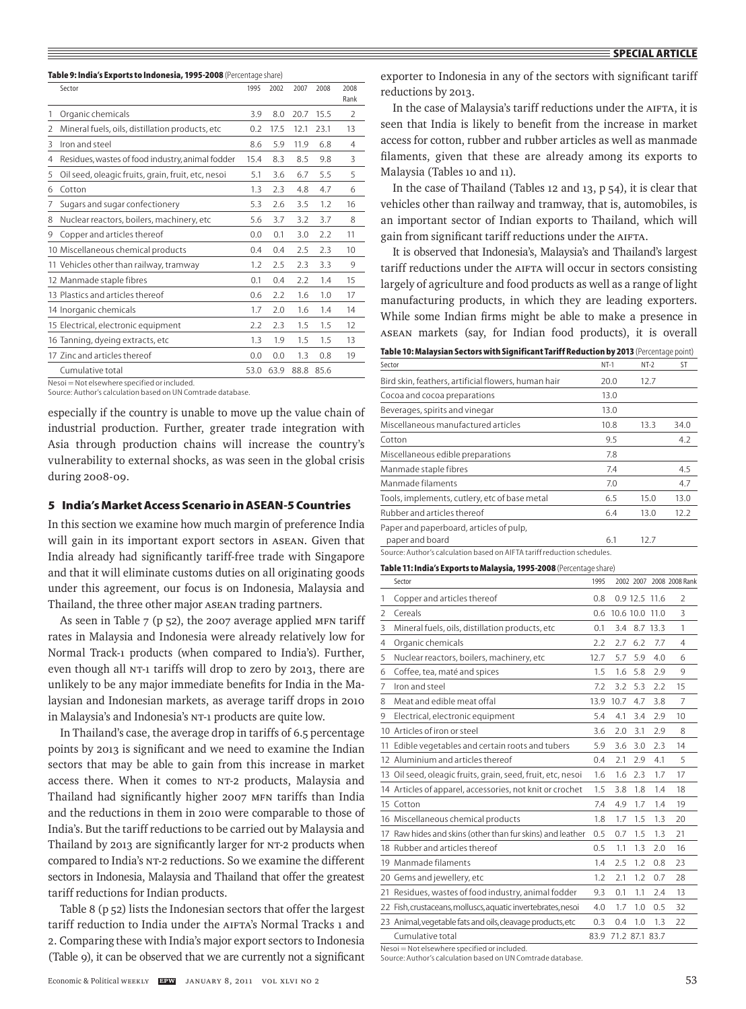#### **Table 9: India's Exports to Indonesia, 1995-2008** (Percentage share)

|   | Sector                                             | 1995 | 2002 | 2007      | 2008 | 2008<br>Rank   |
|---|----------------------------------------------------|------|------|-----------|------|----------------|
| 1 | Organic chemicals                                  | 3.9  | 8.0  | 20.7      | 15.5 | 2              |
| 2 | Mineral fuels, oils, distillation products, etc    | 0.2  | 17.5 | 12.1      | 23.1 | 13             |
| 3 | Iron and steel                                     | 8.6  | 5.9  | 11.9      | 6.8  | $\overline{4}$ |
| 4 | Residues, wastes of food industry, animal fodder   | 15.4 | 8.3  | 8.5       | 9.8  | 3              |
| 5 | Oil seed, oleagic fruits, grain, fruit, etc, nesoi | 5.1  | 3.6  | 6.7       | 5.5  | 5              |
| 6 | Cotton                                             | 1.3  | 2.3  | 4.8       | 4.7  | 6              |
| 7 | Sugars and sugar confectionery                     | 5.3  | 2.6  | 3.5       | 1.2  | 16             |
| 8 | Nuclear reactors, boilers, machinery, etc          | 5.6  | 3.7  | 3.2       | 3.7  | 8              |
| 9 | Copper and articles thereof                        | 0.0  | 0.1  | 3.0       | 2.2  | 11             |
|   | 10 Miscellaneous chemical products                 | 0.4  | 0.4  | 2.5       | 2.3  | 10             |
|   | 11 Vehicles other than railway, tramway            | 1.2  | 2.5  | 2.3       | 3.3  | 9              |
|   | 12 Manmade staple fibres                           | 0.1  | 0.4  | 2.2       | 1.4  | 15             |
|   | 13 Plastics and articles thereof                   | 0.6  | 2.2  | 1.6       | 1.0  | 17             |
|   | 14 Inorganic chemicals                             | 1.7  | 2.0  | 1.6       | 1.4  | 14             |
|   | 15 Electrical, electronic equipment                | 2.2  | 2.3  | 1.5       | 1.5  | 12             |
|   | 16 Tanning, dyeing extracts, etc                   | 1.3  | 1.9  | 1.5       | 1.5  | 13             |
|   | 17 Zinc and articles thereof                       | 0.0  | 0.0  | 1.3       | 0.8  | 19             |
|   | Cumulative total                                   | 53.0 | 63.9 | 88.8 85.6 |      |                |

Nesoi = Not elsewhere specified or included.

Source: Author's calculation based on UN Comtrade database.

especially if the country is unable to move up the value chain of industrial production. Further, greater trade integration with Asia through production chains will increase the country's vulnerability to external shocks, as was seen in the global crisis during 2008-09.

# **5 India's Market Access Scenario in ASEAN-5 Countries**

In this section we examine how much margin of preference India will gain in its important export sectors in ASEAN. Given that India already had significantly tariff-free trade with Singapore and that it will eliminate customs duties on all originating goods under this agreement, our focus is on Indonesia, Malaysia and Thailand, the three other major ASEAN trading partners.

As seen in Table 7 (p 52), the 2007 average applied MFN tariff rates in Malaysia and Indonesia were already relatively low for Normal Track-1 products (when compared to India's). Further, even though all NT-1 tariffs will drop to zero by 2013, there are unlikely to be any major immediate benefits for India in the Malaysian and Indonesian markets, as average tariff drops in 2010 in Malaysia's and Indonesia's NT-1 products are quite low.

In Thailand's case, the average drop in tariffs of 6.5 percentage points by 2013 is significant and we need to examine the Indian sectors that may be able to gain from this increase in market access there. When it comes to NT-2 products, Malaysia and Thailand had significantly higher 2007 MFN tariffs than India and the reductions in them in 2010 were comparable to those of India's. But the tariff reductions to be carried out by Malaysia and Thailand by 2013 are significantly larger for NT-2 products when compared to India's NT-2 reductions. So we examine the different sectors in Indonesia, Malaysia and Thailand that offer the greatest tariff reductions for Indian products.

Table 8 (p 52) lists the Indonesian sectors that offer the largest tariff reduction to India under the AIFTA's Normal Tracks 1 and 2. Comparing these with India's major export sectors to Indonesia (Table 9), it can be observed that we are currently not a significant exporter to Indonesia in any of the sectors with significant tariff reductions by 2013.

In the case of Malaysia's tariff reductions under the AIFTA, it is seen that India is likely to benefit from the increase in market access for cotton, rubber and rubber articles as well as manmade filaments, given that these are already among its exports to Malaysia (Tables 10 and 11).

In the case of Thailand (Tables 12 and 13, p 54), it is clear that vehicles other than railway and tramway, that is, automobiles, is an important sector of Indian exports to Thailand, which will gain from significant tariff reductions under the AIFTA.

It is observed that Indonesia's, Malaysia's and Thailand's largest tariff reductions under the AIFTA will occur in sectors consisting largely of agriculture and food products as well as a range of light manufacturing products, in which they are leading exporters. While some Indian firms might be able to make a presence in ASEAN markets (say, for Indian food products), it is overall

**Table 10: Malaysian Sectors with Significant Tariff Reduction by 2013** (Percentage point)

| Sector                                                                  | $NT-1$ | $NT-2$ | ST   |
|-------------------------------------------------------------------------|--------|--------|------|
| Bird skin, feathers, artificial flowers, human hair                     | 20.0   | 12.7   |      |
| Cocoa and cocoa preparations                                            | 13.0   |        |      |
| Beverages, spirits and vinegar                                          | 13.0   |        |      |
| Miscellaneous manufactured articles                                     | 10.8   | 13.3   | 34.0 |
| Cotton                                                                  | 9.5    |        | 4.2  |
| Miscellaneous edible preparations                                       | 7.8    |        |      |
| Manmade staple fibres                                                   | 7.4    |        | 4.5  |
| Manmade filaments                                                       | 7.0    |        | 4.7  |
| Tools, implements, cutlery, etc of base metal                           | 6.5    | 15.0   | 13.0 |
| Rubber and articles thereof                                             | 6.4    | 13.0   | 12.2 |
| Paper and paperboard, articles of pulp,                                 |        |        |      |
| paper and board                                                         | 6.1    | 12.7   |      |
| Source: Author's calculation based on AIFTA tariff reduction schedules. |        |        |      |

| Table 11: India's Exports to Malaysia, 1995-2008 (Percentage share) |  |
|---------------------------------------------------------------------|--|
|---------------------------------------------------------------------|--|

|                          | Sector                                                       | 1995 |                     |                |          | 2002 2007 2008 2008 Rank |
|--------------------------|--------------------------------------------------------------|------|---------------------|----------------|----------|--------------------------|
| 1                        | Copper and articles thereof                                  | 0.8  |                     | 0.9 12.5 11.6  |          | $\overline{\phantom{a}}$ |
| $\overline{\phantom{a}}$ | Cereals                                                      | 0.6  |                     | 10.6 10.0 11.0 |          | 3                        |
| 3                        | Mineral fuels, oils, distillation products, etc              | 0.1  | 3.4                 |                | 8.7 13.3 | 1                        |
| 4                        | Organic chemicals                                            | 2.2  | 2.7                 | 6.2            | 7.7      | $\overline{4}$           |
| 5                        | Nuclear reactors, boilers, machinery, etc                    | 12.7 | 5.7                 | 5.9            | 4.0      | 6                        |
| 6                        | Coffee, tea, maté and spices                                 | 1.5  | 1.6                 | 5.8            | 2.9      | 9                        |
| 7                        | Iron and steel                                               | 7.2  | 3.2                 | 5.3            | 2.2      | 15                       |
| 8                        | Meat and edible meat offal                                   | 13.9 | 10.7                | 4.7            | 3.8      | $\overline{7}$           |
| 9                        | Electrical, electronic equipment                             | 5.4  | 4.1                 | 3.4            | 2.9      | 10                       |
|                          | 10 Articles of iron or steel                                 | 3.6  | 2.0                 | 3.1            | 2.9      | 8                        |
| 11                       | Edible vegetables and certain roots and tubers               | 5.9  | 3.6                 | 3.0            | 2.3      | 14                       |
|                          | 12 Aluminium and articles thereof                            | 0.4  | 2.1                 | 2.9            | 4.1      | 5                        |
|                          | 13 Oil seed, oleagic fruits, grain, seed, fruit, etc, nesoi  | 1.6  | 1.6                 | 2.3            | 1.7      | 17                       |
|                          | 14 Articles of apparel, accessories, not knit or crochet     | 1.5  | 3.8                 | 1.8            | 1.4      | 18                       |
|                          | 15 Cotton                                                    | 7.4  | 4.9                 | 1.7            | 1.4      | 19                       |
|                          | 16 Miscellaneous chemical products                           | 1.8  | 1.7                 | 1.5            | 1.3      | 20                       |
|                          | 17 Raw hides and skins (other than fur skins) and leather    | 0.5  | 0.7                 | 1.5            | 1.3      | 21                       |
|                          | 18 Rubber and articles thereof                               | 0.5  | 1.1                 | 1.3            | 2.0      | 16                       |
|                          | 19 Manmade filaments                                         | 1.4  | 2.5                 | 1.2            | 0.8      | 23                       |
|                          | 20 Gems and jewellery, etc                                   | 1.2  | 2.1                 | 1.2            | 0.7      | 28                       |
|                          | 21 Residues, wastes of food industry, animal fodder          | 9.3  | 0.1                 | 1.1            | 2.4      | 13                       |
|                          | 22 Fish, crustaceans, molluscs, aquatic invertebrates, nesoi | 4.0  | 1.7                 | 1.0            | 0.5      | 32                       |
|                          | 23 Animal, vegetable fats and oils, cleavage products, etc   | 0.3  | 0.4                 | 1.0            | 1.3      | 22                       |
|                          | Cumulative total                                             |      | 83.9 71.2 87.1 83.7 |                |          |                          |

Nesoi = Not elsewhere specified or included.

Source: Author's calculation based on UN Comtrade database.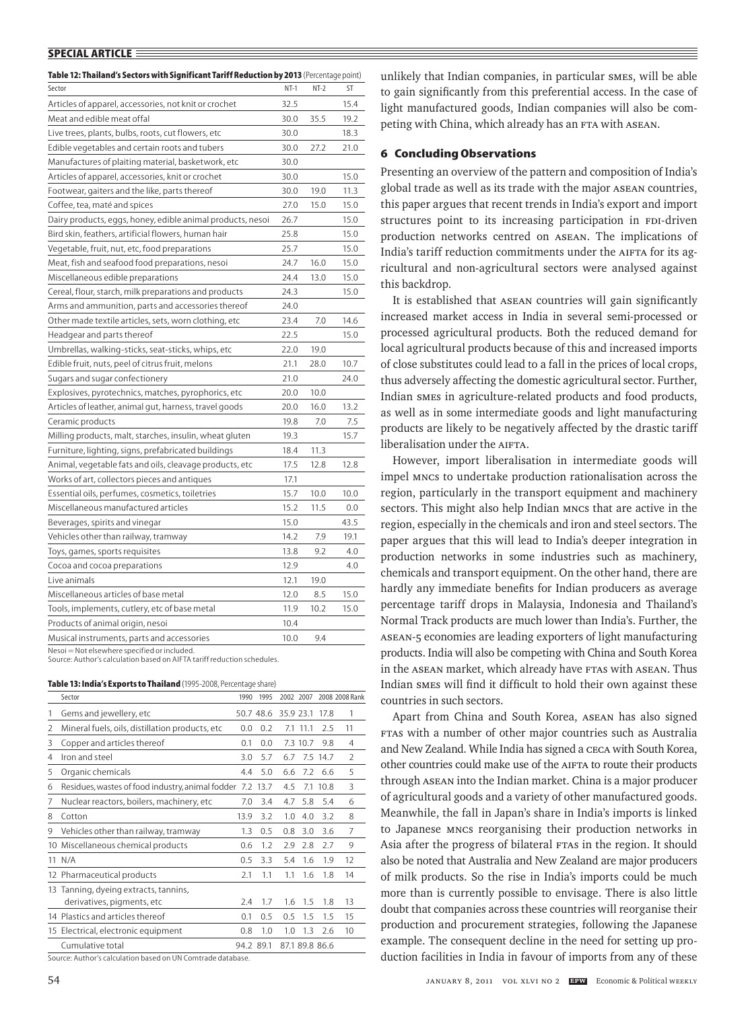| Table 12: Thailand's Sectors with Significant Tariff Reduction by 2013 (Percentage point) |        |        |      |
|-------------------------------------------------------------------------------------------|--------|--------|------|
| Sector                                                                                    | $NT-1$ | $NT-2$ | ST   |
| Articles of apparel, accessories, not knit or crochet                                     | 32.5   |        | 15.4 |
| Meat and edible meat offal                                                                | 30.0   | 35.5   | 19.2 |
| Live trees, plants, bulbs, roots, cut flowers, etc                                        | 30.0   |        | 18.3 |
| Edible vegetables and certain roots and tubers                                            | 30.0   | 27.2   | 21.0 |
| Manufactures of plaiting material, basketwork, etc                                        | 30.0   |        |      |
| Articles of apparel, accessories, knit or crochet                                         | 30.0   |        | 15.0 |
| Footwear, gaiters and the like, parts thereof                                             | 30.0   | 19.0   | 11.3 |
| Coffee, tea, maté and spices                                                              | 27.0   | 15.0   | 15.0 |
| Dairy products, eggs, honey, edible animal products, nesoi                                | 26.7   |        | 15.0 |
| Bird skin, feathers, artificial flowers, human hair                                       | 25.8   |        | 15.0 |
| Vegetable, fruit, nut, etc, food preparations                                             | 25.7   |        | 15.0 |
| Meat, fish and seafood food preparations, nesoi                                           | 24.7   | 16.0   | 15.0 |
| Miscellaneous edible preparations                                                         | 24.4   | 13.0   | 15.0 |
| Cereal, flour, starch, milk preparations and products                                     | 24.3   |        | 15.0 |
| Arms and ammunition, parts and accessories thereof                                        | 24.0   |        |      |
| Other made textile articles, sets, worn clothing, etc                                     | 23.4   | 7.0    | 14.6 |
| Headgear and parts thereof                                                                | 22.5   |        | 15.0 |
| Umbrellas, walking-sticks, seat-sticks, whips, etc                                        | 22.0   | 19.0   |      |
| Edible fruit, nuts, peel of citrus fruit, melons                                          | 21.1   | 28.0   | 10.7 |
| Sugars and sugar confectionery                                                            | 21.0   |        | 24.0 |
| Explosives, pyrotechnics, matches, pyrophorics, etc                                       | 20.0   | 10.0   |      |
| Articles of leather, animal gut, harness, travel goods                                    | 20.0   | 16.0   | 13.2 |
| Ceramic products                                                                          | 19.8   | 7.0    | 7.5  |
| Milling products, malt, starches, insulin, wheat gluten                                   | 19.3   |        | 15.7 |
| Furniture, lighting, signs, prefabricated buildings                                       | 18.4   | 11.3   |      |
| Animal, vegetable fats and oils, cleavage products, etc                                   | 17.5   | 12.8   | 12.8 |
| Works of art, collectors pieces and antiques                                              | 17.1   |        |      |
| Essential oils, perfumes, cosmetics, toiletries                                           | 15.7   | 10.0   | 10.0 |
| Miscellaneous manufactured articles                                                       | 15.2   | 11.5   | 0.0  |
| Beverages, spirits and vinegar                                                            | 15.0   |        | 43.5 |
| Vehicles other than railway, tramway                                                      | 14.2   | 7.9    | 19.1 |
| Toys, games, sports requisites                                                            | 13.8   | 9.2    | 4.0  |
| Cocoa and cocoa preparations                                                              | 12.9   |        | 4.0  |
| Live animals                                                                              | 12.1   | 19.0   |      |
| Miscellaneous articles of base metal                                                      | 12.0   | 8.5    | 15.0 |
| Tools, implements, cutlery, etc of base metal                                             | 11.9   | 10.2   | 15.0 |
| Products of animal origin, nesoi                                                          | 10.4   |        |      |
| Musical instruments, parts and accessories                                                | 10.0   | 9.4    |      |

Nesoi = Not elsewhere specified or included.

Source: Author's calculation based on AIFTA tariff reduction schedules.

| Table 13: India's Exports to Thailand (1995-2008, Percentage share) |  |  |
|---------------------------------------------------------------------|--|--|
|---------------------------------------------------------------------|--|--|

|    | Sector                                                           | 1990      | 1995      | 2002 2007 |                |          | 2008 2008 Rank |
|----|------------------------------------------------------------------|-----------|-----------|-----------|----------------|----------|----------------|
| 1  | Gems and jewellery, etc                                          |           | 50.7 48.6 | 35.9 23.1 |                | 17.8     | 1              |
| 2  | Mineral fuels, oils, distillation products, etc                  | 0.0       | 0.2       |           | 7.1 11.1       | 2.5      | 11             |
| 3  | Copper and articles thereof                                      | 0.1       | 0.0       |           | 7.3 10.7       | 9.8      | 4              |
| 4  | Iron and steel                                                   | 3.0       | 5.7       | 6.7       |                | 7.5 14.7 | $\mathcal{P}$  |
| 5  | Organic chemicals                                                | 4.4       | 5.0       | 6.6       | 7.2            | 6.6      | 5              |
| 6  | Residues, wastes of food industry, animal fodder                 | 7.2       | 13.7      | 4.5       |                | 7.1 10.8 | 3              |
| 7  | Nuclear reactors, boilers, machinery, etc                        | 7.0       | 3.4       | 4.7       | 5.8            | 5.4      | 6              |
| 8  | Cotton                                                           | 13.9      | 3.2       | 1.0       | 4.0            | 3.2      | 8              |
| 9  | Vehicles other than railway, tramway                             | 1.3       | 0.5       | 0.8       | 3.0            | 3.6      | 7              |
|    | 10 Miscellaneous chemical products                               | 0.6       | 1.2       | 2.9       | 2.8            | 7.7      | 9              |
|    | 11 N/A                                                           | 0.5       | 3.3       | 5.4       | 1.6            | 1.9      | 12             |
|    | 12 Pharmaceutical products                                       | 2.1       | 1.1       | 1.1       | 1.6            | 1.8      | 14             |
| 13 | Tanning, dyeing extracts, tannins,<br>derivatives, pigments, etc | 7.4       | 1.7       | 1.6       | 1.5            | 1.8      | 13             |
|    | 14 Plastics and articles thereof                                 | 0.1       | 0.5       | 0.5       | 1.5            | 1.5      | 15             |
|    | 15 Electrical, electronic equipment                              | 0.8       | 1.0       | 1.0       | 1.3            | 2.6      | 10             |
|    | Cumulative total                                                 | 94.2 89.1 |           |           | 87.1 89.8 86.6 |          |                |

Source: Author's calculation based on UN Comtrade database.

unlikely that Indian companies, in particular SMEs, will be able to gain significantly from this preferential access. In the case of light manufactured goods, Indian companies will also be competing with China, which already has an FTA with ASEAN.

# **6 Concluding Observations**

Presenting an overview of the pattern and composition of India's global trade as well as its trade with the major ASEAN countries, this paper argues that recent trends in India's export and import structures point to its increasing participation in FDI-driven production networks centred on ASEAN. The implications of India's tariff reduction commitments under the AIFTA for its agricultural and non-agricultural sectors were analysed against this backdrop.

It is established that ASEAN countries will gain significantly increased market access in India in several semi-processed or processed agricultural products. Both the reduced demand for local agricultural products because of this and increased imports of close substitutes could lead to a fall in the prices of local crops, thus adversely affecting the domestic agricultural sector. Further, Indian SMEs in agriculture-related products and food products, as well as in some intermediate goods and light manufacturing products are likely to be negatively affected by the drastic tariff liberalisation under the AIFTA.

However, import liberalisation in intermediate goods will impel MNCs to undertake production rationalisation across the region, particularly in the transport equipment and machinery sectors. This might also help Indian MNCs that are active in the region, especially in the chemicals and iron and steel sectors. The paper argues that this will lead to India's deeper integration in production networks in some industries such as machinery, chemicals and transport equipment. On the other hand, there are hardly any immediate benefits for Indian producers as average percentage tariff drops in Malaysia, Indonesia and Thailand's Normal Track products are much lower than India's. Further, the ASEAN-5 economies are leading exporters of light manufacturing products. India will also be competing with China and South Korea in the ASEAN market, which already have FTAs with ASEAN. Thus Indian SMEs will find it difficult to hold their own against these countries in such sectors.

Apart from China and South Korea, ASEAN has also signed FTAs with a number of other major countries such as Australia and New Zealand. While India has signed a CECA with South Korea, other countries could make use of the AIFTA to route their products through ASEAN into the Indian market. China is a major producer of agricultural goods and a variety of other manufactured goods. Meanwhile, the fall in Japan's share in India's imports is linked to Japanese MNCs reorganising their production networks in Asia after the progress of bilateral FTAs in the region. It should also be noted that Australia and New Zealand are major producers of milk products. So the rise in India's imports could be much more than is currently possible to envisage. There is also little doubt that companies across these countries will reorganise their production and procurement strategies, following the Japanese example. The consequent decline in the need for setting up production facilities in India in favour of imports from any of these